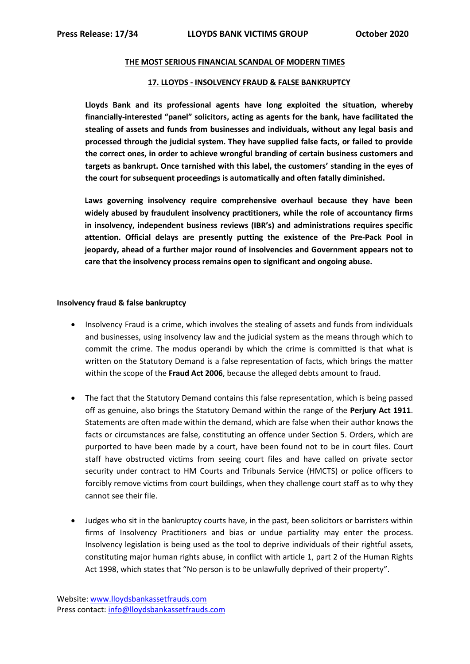## **THE MOST SERIOUS FINANCIAL SCANDAL OF MODERN TIMES**

## **17. LLOYDS - INSOLVENCY FRAUD & FALSE BANKRUPTCY**

**Lloyds Bank and its professional agents have long exploited the situation, whereby financially-interested "panel" solicitors, acting as agents for the bank, have facilitated the stealing of assets and funds from businesses and individuals, without any legal basis and processed through the judicial system. They have supplied false facts, or failed to provide the correct ones, in order to achieve wrongful branding of certain business customers and targets as bankrupt. Once tarnished with this label, the customers' standing in the eyes of the court for subsequent proceedings is automatically and often fatally diminished.**

**Laws governing insolvency require comprehensive overhaul because they have been widely abused by fraudulent insolvency practitioners, while the role of accountancy firms in insolvency, independent business reviews (IBR's) and administrations requires specific attention. Official delays are presently putting the existence of the Pre-Pack Pool in jeopardy, ahead of a further major round of insolvencies and Government appears not to care that the insolvency process remains open to significant and ongoing abuse.**

## **Insolvency fraud & false bankruptcy**

- Insolvency Fraud is a crime, which involves the stealing of assets and funds from individuals and businesses, using insolvency law and the judicial system as the means through which to commit the crime. The modus operandi by which the crime is committed is that what is written on the Statutory Demand is a false representation of facts, which brings the matter within the scope of the **Fraud Act 2006**, because the alleged debts amount to fraud.
- The fact that the Statutory Demand contains this false representation, which is being passed off as genuine, also brings the Statutory Demand within the range of the **Perjury Act 1911**. Statements are often made within the demand, which are false when their author knows the facts or circumstances are false, constituting an offence under Section 5. Orders, which are purported to have been made by a court, have been found not to be in court files. Court staff have obstructed victims from seeing court files and have called on private sector security under contract to HM Courts and Tribunals Service (HMCTS) or police officers to forcibly remove victims from court buildings, when they challenge court staff as to why they cannot see their file.
- Judges who sit in the bankruptcy courts have, in the past, been solicitors or barristers within firms of Insolvency Practitioners and bias or undue partiality may enter the process. Insolvency legislation is being used as the tool to deprive individuals of their rightful assets, constituting major human rights abuse, in conflict with article 1, part 2 of the Human Rights Act 1998, which states that "No person is to be unlawfully deprived of their property".